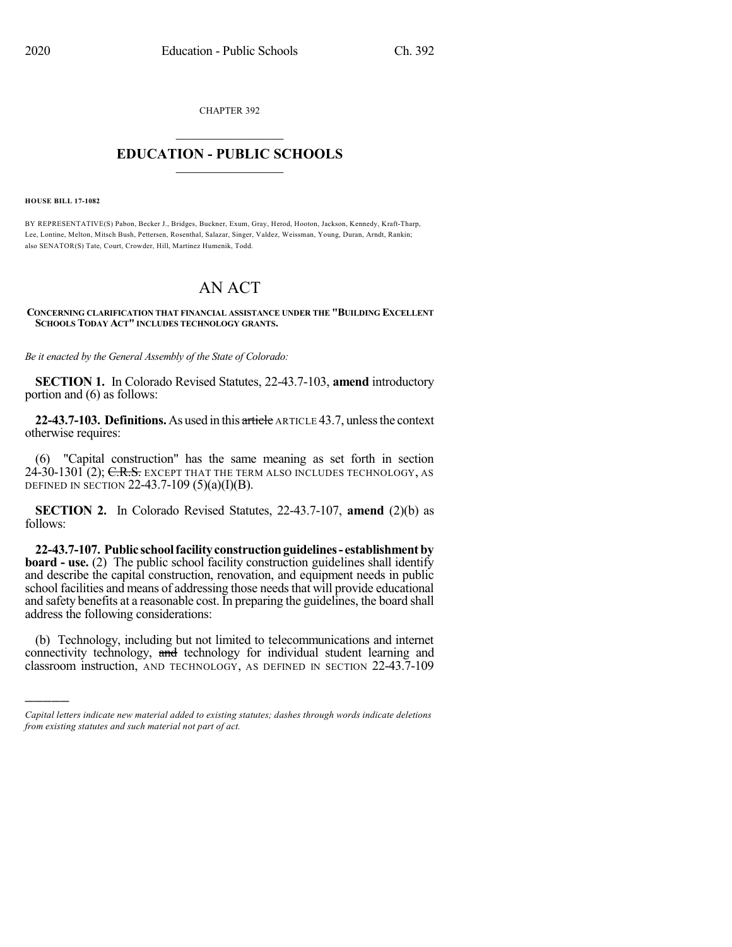CHAPTER 392  $\overline{\phantom{a}}$  . The set of the set of the set of the set of the set of the set of the set of the set of the set of the set of the set of the set of the set of the set of the set of the set of the set of the set of the set o

## **EDUCATION - PUBLIC SCHOOLS**  $\_$   $\_$   $\_$   $\_$   $\_$   $\_$   $\_$   $\_$   $\_$

**HOUSE BILL 17-1082**

)))))

BY REPRESENTATIVE(S) Pabon, Becker J., Bridges, Buckner, Exum, Gray, Herod, Hooton, Jackson, Kennedy, Kraft-Tharp, Lee, Lontine, Melton, Mitsch Bush, Pettersen, Rosenthal, Salazar, Singer, Valdez, Weissman, Young, Duran, Arndt, Rankin; also SENATOR(S) Tate, Court, Crowder, Hill, Martinez Humenik, Todd.

## AN ACT

## **CONCERNING CLARIFICATION THAT FINANCIAL ASSISTANCE UNDER THE "BUILDING EXCELLENT SCHOOLS TODAY ACT" INCLUDES TECHNOLOGY GRANTS.**

*Be it enacted by the General Assembly of the State of Colorado:*

**SECTION 1.** In Colorado Revised Statutes, 22-43.7-103, **amend** introductory portion and (6) as follows:

**22-43.7-103. Definitions.**As used in this article ARTICLE 43.7, unlessthe context otherwise requires:

(6) "Capital construction" has the same meaning as set forth in section 24-30-1301 (2); C.R.S. EXCEPT THAT THE TERM ALSO INCLUDES TECHNOLOGY, AS DEFINED IN SECTION 22-43.7-109  $(5)(a)(I)(B)$ .

**SECTION 2.** In Colorado Revised Statutes, 22-43.7-107, **amend** (2)(b) as follows:

**22-43.7-107. Public schoolfacilityconstructionguidelines- establishmentby board - use.** (2) The public school facility construction guidelines shall identify and describe the capital construction, renovation, and equipment needs in public school facilities and means of addressing those needs that will provide educational and safety benefits at a reasonable cost. In preparing the guidelines, the board shall address the following considerations:

(b) Technology, including but not limited to telecommunications and internet connectivity technology, and technology for individual student learning and classroom instruction, AND TECHNOLOGY, AS DEFINED IN SECTION 22-43.7-109

*Capital letters indicate new material added to existing statutes; dashes through words indicate deletions from existing statutes and such material not part of act.*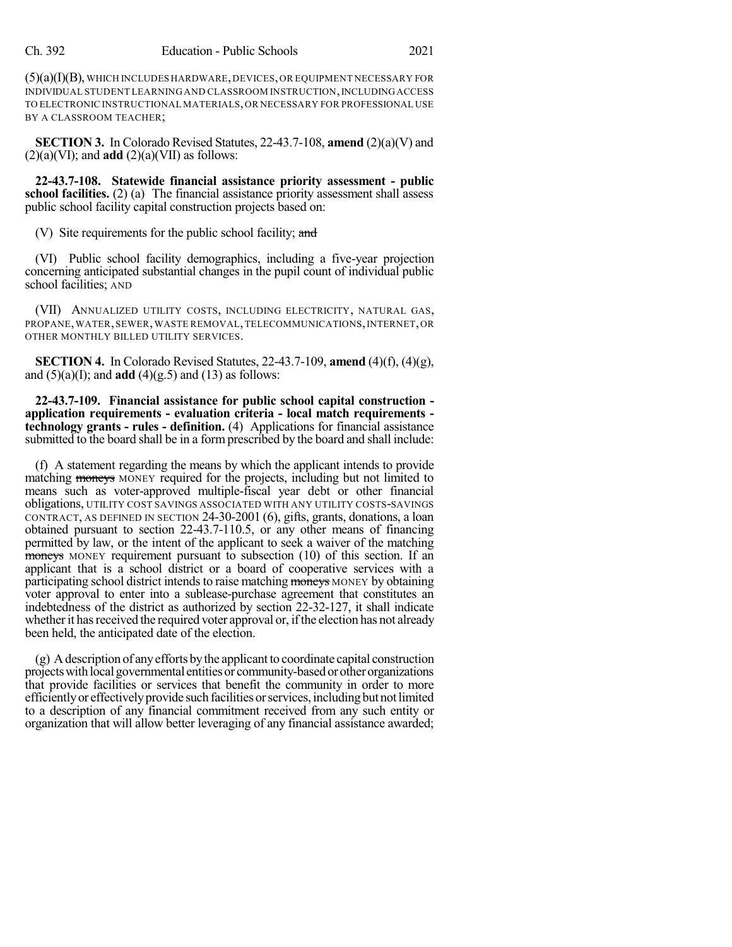$(5)(a)(I)(B)$ , WHICH INCLUDES HARDWARE, DEVICES, OR EQUIPMENT NECESSARY FOR INDIVIDUAL STUDENT LEARNING AND CLASSROOM INSTRUCTION,INCLUDINGACCESS TO ELECTRONIC INSTRUCTIONAL MATERIALS,OR NECESSARY FOR PROFESSIONAL USE BY A CLASSROOM TEACHER;

**SECTION 3.** In Colorado Revised Statutes, 22-43.7-108, **amend** (2)(a)(V) and  $(2)(a)(VI)$ ; and **add**  $(2)(a)(VII)$  as follows:

**22-43.7-108. Statewide financial assistance priority assessment - public school facilities.** (2) (a) The financial assistance priority assessment shall assess public school facility capital construction projects based on:

(V) Site requirements for the public school facility; and

(VI) Public school facility demographics, including a five-year projection concerning anticipated substantial changes in the pupil count of individual public school facilities; AND

(VII) ANNUALIZED UTILITY COSTS, INCLUDING ELECTRICITY, NATURAL GAS, PROPANE, WATER, SEWER, WASTE REMOVAL, TELECOMMUNICATIONS, INTERNET, OR OTHER MONTHLY BILLED UTILITY SERVICES.

**SECTION 4.** In Colorado Revised Statutes, 22-43.7-109, **amend** (4)(f), (4)(g), and  $(5)(a)(I)$ ; and **add**  $(4)(g.5)$  and  $(13)$  as follows:

**22-43.7-109. Financial assistance for public school capital construction application requirements - evaluation criteria - local match requirements technology grants - rules - definition.** (4) Applications for financial assistance submitted to the board shall be in a form prescribed by the board and shall include:

(f) A statement regarding the means by which the applicant intends to provide matching moneys MONEY required for the projects, including but not limited to means such as voter-approved multiple-fiscal year debt or other financial obligations, UTILITY COST SAVINGS ASSOCIATED WITH ANY UTILITY COSTS-SAVINGS CONTRACT, AS DEFINED IN SECTION 24-30-2001 (6), gifts, grants, donations, a loan obtained pursuant to section 22-43.7-110.5, or any other means of financing permitted by law, or the intent of the applicant to seek a waiver of the matching moneys MONEY requirement pursuant to subsection (10) of this section. If an applicant that is a school district or a board of cooperative services with a participating school district intends to raise matching moneys MONEY by obtaining voter approval to enter into a sublease-purchase agreement that constitutes an indebtedness of the district as authorized by section 22-32-127, it shall indicate whether it has received the required voter approval or, if the election has not already been held, the anticipated date of the election.

 $(g)$  A description of any efforts by the applicant to coordinate capital construction projectswithlocal governmental entitiesor community-basedor otherorganizations that provide facilities or services that benefit the community in order to more efficientlyor effectivelyprovide such facilitiesorservices,includingbut notlimited to a description of any financial commitment received from any such entity or organization that will allow better leveraging of any financial assistance awarded;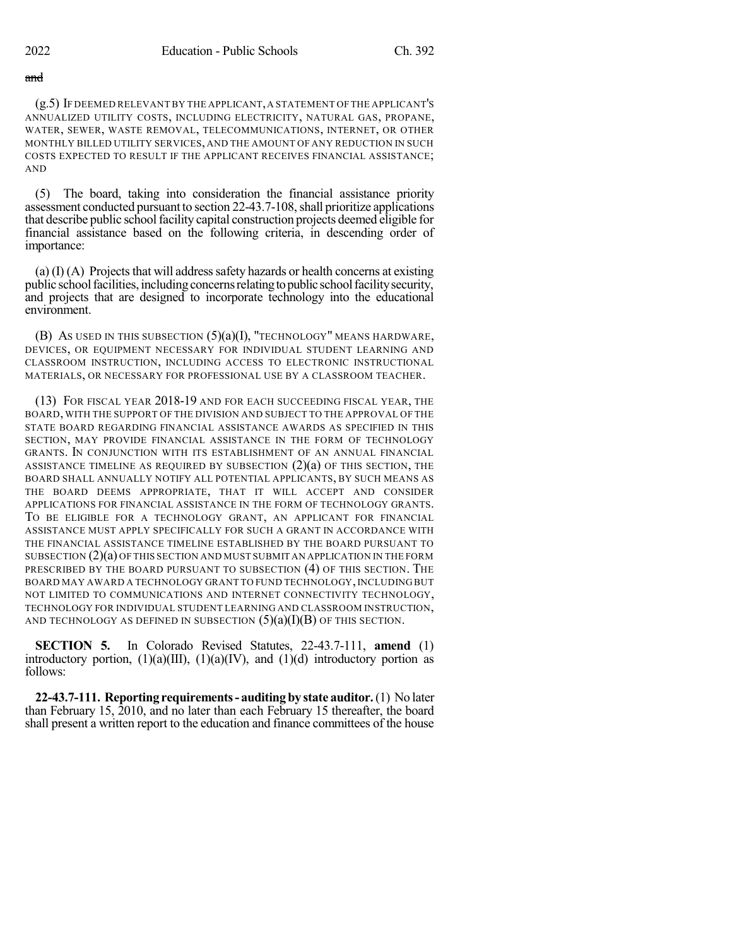## and

(g.5) IF DEEMED RELEVANT BY THE APPLICANT,A STATEMENT OF THE APPLICANT'S ANNUALIZED UTILITY COSTS, INCLUDING ELECTRICITY, NATURAL GAS, PROPANE, WATER, SEWER, WASTE REMOVAL, TELECOMMUNICATIONS, INTERNET, OR OTHER MONTHLY BILLED UTILITY SERVICES, AND THE AMOUNT OF ANY REDUCTION IN SUCH COSTS EXPECTED TO RESULT IF THE APPLICANT RECEIVES FINANCIAL ASSISTANCE; AND

(5) The board, taking into consideration the financial assistance priority assessment conducted pursuant to section 22-43.7-108, shall prioritize applications that describe public schoolfacility capital construction projects deemed eligible for financial assistance based on the following criteria, in descending order of importance:

(a)  $(I) (A)$  Projects that will address safety hazards or health concerns at existing public schoolfacilities,includingconcernsrelatingtopublic schoolfacilitysecurity, and projects that are designed to incorporate technology into the educational environment.

(B) AS USED IN THIS SUBSECTION (5)(a)(I), "TECHNOLOGY" MEANS HARDWARE, DEVICES, OR EQUIPMENT NECESSARY FOR INDIVIDUAL STUDENT LEARNING AND CLASSROOM INSTRUCTION, INCLUDING ACCESS TO ELECTRONIC INSTRUCTIONAL MATERIALS, OR NECESSARY FOR PROFESSIONAL USE BY A CLASSROOM TEACHER.

(13) FOR FISCAL YEAR 2018-19 AND FOR EACH SUCCEEDING FISCAL YEAR, THE BOARD, WITH THE SUPPORT OF THE DIVISION AND SUBJECT TO THE APPROVAL OF THE STATE BOARD REGARDING FINANCIAL ASSISTANCE AWARDS AS SPECIFIED IN THIS SECTION, MAY PROVIDE FINANCIAL ASSISTANCE IN THE FORM OF TECHNOLOGY GRANTS. IN CONJUNCTION WITH ITS ESTABLISHMENT OF AN ANNUAL FINANCIAL ASSISTANCE TIMELINE AS REQUIRED BY SUBSECTION  $(2)(a)$  OF THIS SECTION, THE BOARD SHALL ANNUALLY NOTIFY ALL POTENTIAL APPLICANTS, BY SUCH MEANS AS THE BOARD DEEMS APPROPRIATE, THAT IT WILL ACCEPT AND CONSIDER APPLICATIONS FOR FINANCIAL ASSISTANCE IN THE FORM OF TECHNOLOGY GRANTS. TO BE ELIGIBLE FOR A TECHNOLOGY GRANT, AN APPLICANT FOR FINANCIAL ASSISTANCE MUST APPLY SPECIFICALLY FOR SUCH A GRANT IN ACCORDANCE WITH THE FINANCIAL ASSISTANCE TIMELINE ESTABLISHED BY THE BOARD PURSUANT TO SUBSECTION  $(2)(a)$  OF THIS SECTION AND MUST SUBMIT AN APPLICATION IN THE FORM PRESCRIBED BY THE BOARD PURSUANT TO SUBSECTION (4) OF THIS SECTION. THE BOARD MAY AWARD A TECHNOLOGY GRANT TO FUND TECHNOLOGY,INCLUDING BUT NOT LIMITED TO COMMUNICATIONS AND INTERNET CONNECTIVITY TECHNOLOGY, TECHNOLOGY FOR INDIVIDUAL STUDENT LEARNING AND CLASSROOM INSTRUCTION, AND TECHNOLOGY AS DEFINED IN SUBSECTION  $(5)(a)(I)(B)$  OF THIS SECTION.

**SECTION 5.** In Colorado Revised Statutes, 22-43.7-111, **amend** (1) introductory portion,  $(1)(a)(III)$ ,  $(1)(a)(IV)$ , and  $(1)(d)$  introductory portion as follows:

**22-43.7-111. Reporting requirements- auditingby state auditor.**(1) No later than February 15, 2010, and no later than each February 15 thereafter, the board shall present a written report to the education and finance committees of the house